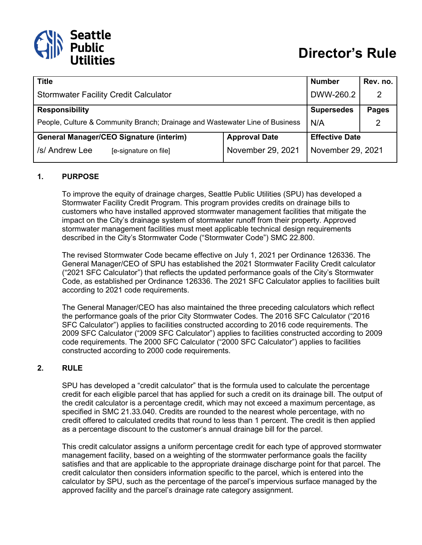

| <b>Title</b>                                                                 |                       | <b>Number</b>     | Rev. no. |
|------------------------------------------------------------------------------|-----------------------|-------------------|----------|
| <b>Stormwater Facility Credit Calculator</b>                                 | DWW-260.2             | 2                 |          |
| <b>Responsibility</b>                                                        | <b>Supersedes</b>     | <b>Pages</b>      |          |
| People, Culture & Community Branch; Drainage and Wastewater Line of Business | N/A                   |                   |          |
| <b>General Manager/CEO Signature (interim)</b>                               | <b>Effective Date</b> |                   |          |
| /s/ Andrew Lee<br>[e-signature on file]                                      | November 29, 2021     | November 29, 2021 |          |

### **1. PURPOSE**

To improve the equity of drainage charges, Seattle Public Utilities (SPU) has developed a Stormwater Facility Credit Program. This program provides credits on drainage bills to customers who have installed approved stormwater management facilities that mitigate the impact on the City's drainage system of stormwater runoff from their property. Approved stormwater management facilities must meet applicable technical design requirements described in the City's Stormwater Code ("Stormwater Code") SMC 22.800.

The revised Stormwater Code became effective on July 1, 2021 per Ordinance 126336. The General Manager/CEO of SPU has established the 2021 Stormwater Facility Credit calculator ("2021 SFC Calculator") that reflects the updated performance goals of the City's Stormwater Code, as established per Ordinance 126336. The 2021 SFC Calculator applies to facilities built according to 2021 code requirements.

The General Manager/CEO has also maintained the three preceding calculators which reflect the performance goals of the prior City Stormwater Codes. The 2016 SFC Calculator ("2016 SFC Calculator") applies to facilities constructed according to 2016 code requirements. The 2009 SFC Calculator ("2009 SFC Calculator") applies to facilities constructed according to 2009 code requirements. The 2000 SFC Calculator ("2000 SFC Calculator") applies to facilities constructed according to 2000 code requirements.

### **2. RULE**

SPU has developed a "credit calculator" that is the formula used to calculate the percentage credit for each eligible parcel that has applied for such a credit on its drainage bill. The output of the credit calculator is a percentage credit, which may not exceed a maximum percentage, as specified in SMC 21.33.040. Credits are rounded to the nearest whole percentage, with no credit offered to calculated credits that round to less than 1 percent. The credit is then applied as a percentage discount to the customer's annual drainage bill for the parcel.

This credit calculator assigns a uniform percentage credit for each type of approved stormwater management facility, based on a weighting of the stormwater performance goals the facility satisfies and that are applicable to the appropriate drainage discharge point for that parcel. The credit calculator then considers information specific to the parcel, which is entered into the calculator by SPU, such as the percentage of the parcel's impervious surface managed by the approved facility and the parcel's drainage rate category assignment.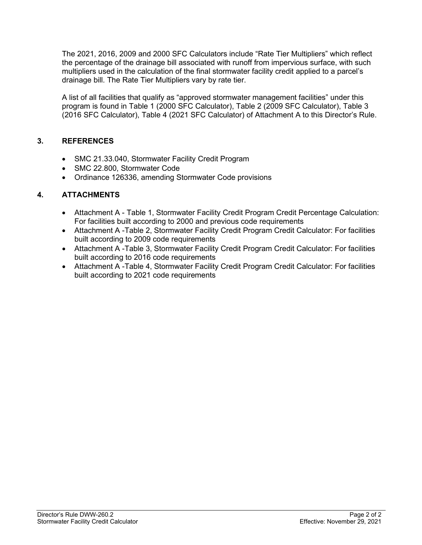The 2021, 2016, 2009 and 2000 SFC Calculators include "Rate Tier Multipliers" which reflect the percentage of the drainage bill associated with runoff from impervious surface, with such multipliers used in the calculation of the final stormwater facility credit applied to a parcel's drainage bill. The Rate Tier Multipliers vary by rate tier.

A list of all facilities that qualify as "approved stormwater management facilities" under this program is found in Table 1 (2000 SFC Calculator), Table 2 (2009 SFC Calculator), Table 3 (2016 SFC Calculator), Table 4 (2021 SFC Calculator) of Attachment A to this Director's Rule.

## **3. REFERENCES**

- SMC 21.33.040, Stormwater Facility Credit Program
- SMC 22.800, Stormwater Code
- Ordinance 126336, amending Stormwater Code provisions

## **4. ATTACHMENTS**

- Attachment A Table 1, Stormwater Facility Credit Program Credit Percentage Calculation: For facilities built according to 2000 and previous code requirements
- Attachment A -Table 2, Stormwater Facility Credit Program Credit Calculator: For facilities built according to 2009 code requirements
- Attachment A -Table 3, Stormwater Facility Credit Program Credit Calculator: For facilities built according to 2016 code requirements
- Attachment A -Table 4, Stormwater Facility Credit Program Credit Calculator: For facilities built according to 2021 code requirements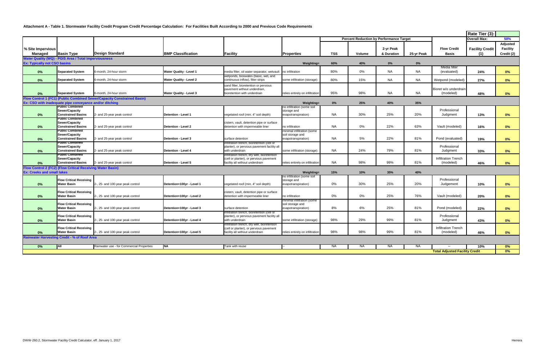#### **Attachment A - Table 1. Stormwater Facility Credit Program Credit Percentage Calculation: For Facilities Built According to 2000 and Previous Code Requirements**

|                                     |                                                                   |                                                                        |                                |                                                                                           |                                                |            |                                                |            |            |                                       | Rate Tier (3):         |                 |
|-------------------------------------|-------------------------------------------------------------------|------------------------------------------------------------------------|--------------------------------|-------------------------------------------------------------------------------------------|------------------------------------------------|------------|------------------------------------------------|------------|------------|---------------------------------------|------------------------|-----------------|
|                                     |                                                                   |                                                                        |                                |                                                                                           |                                                |            | <b>Percent Reduction by Performance Target</b> |            |            |                                       | <b>Overall Max:</b>    | 50%             |
|                                     |                                                                   |                                                                        |                                |                                                                                           |                                                |            |                                                |            |            |                                       |                        | Adjusted        |
| % Site Impervious                   |                                                                   |                                                                        |                                |                                                                                           |                                                |            |                                                | 2-yr Peak  |            | <b>Flow Credit</b>                    | <b>Facility Credit</b> | <b>Facility</b> |
| Managed                             | <b>Basin Type</b>                                                 | <b>Design Standard</b>                                                 | <b>BMP Classification</b>      | <b>Facility</b>                                                                           | <b>Properties</b>                              | <b>TSS</b> | Volume                                         | & Duration | 25-yr Peak | <b>Basis</b>                          | (1)                    | Credit (2)      |
|                                     | <b>Water Quality (WQ) - PGIS Area / Total Imperviousness</b>      |                                                                        |                                |                                                                                           |                                                |            |                                                |            |            |                                       |                        |                 |
| <b>Ex: Typically not CSO basins</b> |                                                                   |                                                                        |                                |                                                                                           | <b>Weighting=</b>                              | 60%        | 40%                                            | $0\%$      | 0%         |                                       |                        |                 |
|                                     |                                                                   |                                                                        |                                |                                                                                           |                                                |            |                                                |            |            | Media filter                          |                        |                 |
| 0%                                  | <b>Separated System</b>                                           | 6-month, 24-hour storm                                                 | <b>Water Quality - Level 1</b> | media filter, oil water separator, wetvault                                               | no infiltration                                | 80%        | 0%                                             | NA         | <b>NA</b>  | (evaluated)                           | 24%                    | $0\%$           |
|                                     |                                                                   |                                                                        |                                | wetponds, bioswales (basic, wet, and                                                      |                                                |            | 15%                                            |            |            |                                       |                        |                 |
| 0%                                  | <b>Separated System</b>                                           | 6-month, 24-hour storm                                                 | <b>Water Quality - Level 2</b> | continuous inflow), filter strips                                                         | some infiltration (storage)                    | 80%        |                                                | NA         | <b>NA</b>  | Wetpond (modeled)                     | 27%                    | $0\%$           |
|                                     |                                                                   |                                                                        |                                | sand filter, bioretention or pervious<br>pavement without underdrain,                     |                                                |            |                                                |            |            | Bioret w/o underdrain                 |                        |                 |
| $0\%$                               | <b>Separated System</b>                                           | 6-month, 24-hour storm                                                 | <b>Water Quality - Level 3</b> | bioretention with underdrain                                                              | relies entirely on infiltration                | 95%        | 98%                                            | <b>NA</b>  | <b>NA</b>  | (modeled)                             | 48%                    | $0\%$           |
|                                     |                                                                   | low Control 1 (FC1) (Public Combined Sewer/Capacity Constrained Basin) |                                |                                                                                           |                                                |            |                                                |            |            |                                       |                        |                 |
|                                     | Ex: CSO with inadequate pipe conveyance and/or ditching           |                                                                        |                                |                                                                                           | <b>Weighting=</b>                              | $0\%$      | 25%                                            | 40%        | 35%        |                                       |                        |                 |
|                                     | ublic Combined                                                    |                                                                        |                                |                                                                                           | no infiltration (some soil                     |            |                                                |            |            |                                       |                        |                 |
| 0%                                  | <b>Sewer/Capacity</b><br><b>Constrained Basins</b>                | 2- and 25-year peak control                                            | Detention - Level 1            | vegetated roof (min. 4" soil depth)                                                       | storage and<br>evapotranspiration)             | <b>NA</b>  | 30%                                            | 25%        | 20%        | Professional<br>Judgment              | 13%                    | $0\%$           |
|                                     | Public Combined                                                   |                                                                        |                                |                                                                                           |                                                |            |                                                |            |            |                                       |                        |                 |
|                                     | <b>Sewer/Capacity</b>                                             |                                                                        |                                | cistern, vault, detention pipe or surface                                                 |                                                |            |                                                |            |            |                                       |                        |                 |
| $0\%$                               | <b>Constrained Basins</b>                                         | 2- and 25-year peak control                                            | Detention - Level 2            | detention with impermeable liner                                                          | no infiltration                                | <b>NA</b>  | 0%                                             | 22%        | 63%        | Vault (modeled)                       | 16%                    | $0\%$           |
|                                     | ublic Combined-<br><b>Sewer/Capacity</b>                          |                                                                        |                                |                                                                                           | minimal infiltration (some<br>soil storage and |            |                                                |            |            |                                       |                        |                 |
| $0\%$                               | <b>Constrained Basins</b>                                         | 2- and 25-year peak control                                            | Detention - Level 3            | surface detention                                                                         | evapotranspiration)                            | <b>NA</b>  | 5%                                             | 22%        | 81%        | Pond (evaluated)                      | 19%                    | $0\%$           |
|                                     | ublic Combined-                                                   |                                                                        |                                | infiltration trench, bioretention (cell or                                                |                                                |            |                                                |            |            |                                       |                        |                 |
|                                     | <b>Sewer/Capacity</b>                                             |                                                                        |                                | planter), or pervious pavement facility all                                               |                                                |            |                                                |            |            | Professional                          |                        |                 |
| 0%                                  | <b>Constrained Basins</b><br>Public Combined                      | 2- and 25-year peak control                                            | Detention - Level 4            | with underdrain<br>infiltration trench, dry well, bioretention                            | some infiltration (storage)                    | <b>NA</b>  | 24%                                            | 79%        | 81%        | Judgment                              | 33%                    | $0\%$           |
|                                     | <b>Sewer/Capacity</b>                                             |                                                                        |                                | (cell or planter), or pervious pavement                                                   |                                                |            |                                                |            |            | Infiltration Trench                   |                        |                 |
| $0\%$                               | <b>Constrained Basins</b>                                         | 2- and 25-year peak control                                            | Detention - Level 5            | facility all without underdrain                                                           | relies entirely on infiltration                | NA.        | 98%                                            | 99%        | 81%        | (modeled)                             | 46%                    | $0\%$           |
|                                     | <b>Flow Control 2 (FC2) (Flow Critical Receiving Water Basin)</b> |                                                                        |                                |                                                                                           |                                                |            |                                                |            |            |                                       |                        |                 |
| <b>Ex: Creeks and small lakes</b>   |                                                                   |                                                                        |                                |                                                                                           | <b>Weighting=</b>                              | 15%        | 10%                                            | 35%        | 40%        |                                       |                        |                 |
|                                     | <b>Flow Critical Receiving</b>                                    |                                                                        |                                |                                                                                           | no infiltration (some soil<br>storage and      |            |                                                |            |            | Professional                          |                        |                 |
| $0\%$                               | <b>Water Basin</b>                                                | 2-, 25- and 100-year peak control                                      | Detention+100yr - Level 1      | vegetated roof (min. 4" soil depth)                                                       | evapotranspiration)                            | 0%         | 30%                                            | 25%        | 20%        | Judgement                             | 10%                    | $0\%$           |
|                                     |                                                                   |                                                                        |                                |                                                                                           |                                                |            |                                                |            |            |                                       |                        |                 |
| $0\%$                               | <b>Flow Critical Receiving</b><br><b>Water Basin</b>              | 2-, 25- and 100-year peak control                                      | Detention+100yr - Level 2      | cistern, vault, detention pipe or surface<br>detention with impermeable liner             | no infiltration                                | 0%         | 0%                                             | 25%        | 76%        | Vault (modeled)                       | 20%                    | $0\%$           |
|                                     |                                                                   |                                                                        |                                |                                                                                           | minimal infiltration (some                     |            |                                                |            |            |                                       |                        |                 |
|                                     | <b>Flow Critical Receiving</b>                                    |                                                                        |                                |                                                                                           | soil storage and                               |            |                                                |            |            |                                       |                        |                 |
| $0\%$                               | <b>Water Basin</b>                                                | 2-, 25- and 100-year peak control                                      | Detention+100yr - Level 3      | surface detention                                                                         | evapotranspiration)                            | 8%         | 6%                                             | 25%        | 81%        | Pond (modeled)                        | 22%                    | $0\%$           |
|                                     | <b>Flow Critical Receiving</b>                                    |                                                                        |                                | infiltration trench, bioretention (cell or<br>planter), or pervious pavement facility all |                                                |            |                                                |            |            | Professional                          |                        |                 |
| $0\%$                               | <b>Water Basin</b>                                                | 2-, 25- and 100-year peak control                                      | Detention+100yr - Level 4      | with underdrain                                                                           | some infiltration (storage)                    | 98%        | 29%                                            | 99%        | 81%        | Judgment                              | 43%                    | $0\%$           |
|                                     |                                                                   |                                                                        |                                | infiltration trench, dry well, bioretention                                               |                                                |            |                                                |            |            |                                       |                        |                 |
|                                     | <b>Flow Critical Receiving</b><br><b>Water Basin</b>              |                                                                        |                                | (cell or planter), or pervious pavement                                                   |                                                | 98%        | 98%                                            | 99%        | 81%        | Infiltration Trench<br>(modeled)      |                        |                 |
| $0\%$                               |                                                                   | 2-, 25- and 100-year peak control                                      | Detention+100yr - Level 5      | facility all without underdrain                                                           | relies entirely on infiltration                |            |                                                |            |            |                                       | 46%                    | $0\%$           |
|                                     | ainwater Harvesting Credit - % of Roof Area                       |                                                                        |                                |                                                                                           |                                                |            |                                                |            |            |                                       |                        |                 |
| 0%                                  | All                                                               | Rainwater use - for Commercial Properties                              | NA                             | Tank with reuse                                                                           |                                                | NA.        | <b>NA</b>                                      | NA.        | NA         |                                       | 10%                    | 0%              |
|                                     |                                                                   |                                                                        |                                |                                                                                           |                                                |            |                                                |            |            | <b>Total Adjusted Facility Credit</b> |                        | $0\%$           |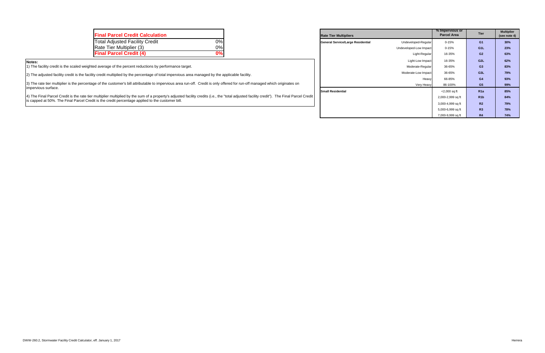Total Adjusted Facility Credit 0% **General Service/Large Residential** Undeveloped-Regular 0-15% **G1 30% Small Residential** 

| <b>Final Parcel Credit Calculation</b> |    | <b>Rate Tier Multipliers</b>      |                        | % Impervious or<br><b>Parcel Area</b> | <b>Tier</b>      | <b>Multipl</b><br>(see not |
|----------------------------------------|----|-----------------------------------|------------------------|---------------------------------------|------------------|----------------------------|
| <b>Total Adjusted Facility Credit</b>  | 0% | General Service/Large Residential | Undeveloped-Regular    | 0-15%                                 | G1               | 30%                        |
| Rate Tier Multiplier (3)               | 0% |                                   | Undeveloped-Low Impact | 0-15%                                 | G <sub>1</sub> L | 23%                        |
| <b>Final Parcel Credit (4)</b>         | 0% |                                   | Light-Regular          | 16-35%                                | G2               | 63%                        |

|                      | % Impervious or<br><b>Parcel Area</b> | <b>Tier</b>      | <b>Multiplier</b><br>(see note 4) |
|----------------------|---------------------------------------|------------------|-----------------------------------|
| Undeveloped-Regular  | $0 - 15%$                             | G <sub>1</sub>   | 30%                               |
| developed-Low Impact | $0 - 15%$                             | G <sub>1</sub> L | 23%                               |
| Light-Regular        | 16-35%                                | G <sub>2</sub>   | 63%                               |
| Light-Low Impact     | 16-35%                                | G <sub>2</sub> L | 62%                               |
| Moderate-Regular     | 36-65%                                | G <sub>3</sub>   | 83%                               |
| Moderate-Low Impact  | 36-65%                                | G <sub>3</sub> L | 79%                               |
| Heavy                | 66-85%                                | G4               | 93%                               |
| Very Heavy           | 86-100%                               | G <sub>5</sub>   | 99%                               |
|                      | $<$ 2,000 sq ft                       | R <sub>1a</sub>  | 85%                               |
|                      | 2,000-2,999 sq ft                     | R <sub>1</sub> b | 84%                               |
|                      | 3,000-4,999 sq ft                     | R <sub>2</sub>   | 79%                               |
|                      | 5,000-6,999 sq ft                     | R3               | 78%                               |
|                      | 7,000-9,999 sq ft                     | R <sub>4</sub>   | 74%                               |

#### **Notes:**

1) The facility credit is the scaled weighted average of the percent reductions by performance target.

2) The adjusted facility credit is the facility credit multiplied by the percentage of total impervious area managed by the applicable facility.

3) The rate tier multiplier is the percentage of the customer's bill attributable to impervious area run-off. Credit is only offered for run-off managed which originates on impervious surface.

4) The Final Parcel Credit is the rate tier multiplier multiplied by the sum of a property's adjusted facility credits (i.e., the "total adjusted facility credit"). The Final Parcel Credit is capped at 50%. The Final Parcel Credit is the credit percentage applied to the customer bill.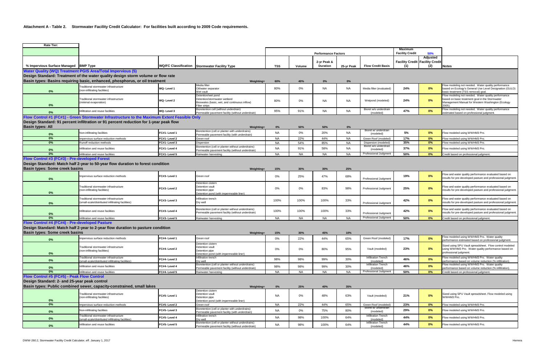#### **Attachment A - Table 2. Stormwater Facility Credit Calculator: For facilities built according to 2009 Code requirements.**

| <b>Rate Tier:</b>                              |                                                                                              |               |                                                                                                                      |            |           |                                |            |                                         |                                   |                                                           |                                                                                                                                                                       |
|------------------------------------------------|----------------------------------------------------------------------------------------------|---------------|----------------------------------------------------------------------------------------------------------------------|------------|-----------|--------------------------------|------------|-----------------------------------------|-----------------------------------|-----------------------------------------------------------|-----------------------------------------------------------------------------------------------------------------------------------------------------------------------|
|                                                |                                                                                              |               |                                                                                                                      |            |           | <b>Performance Factors</b>     |            |                                         | Maximum<br><b>Facility Credit</b> | 50%                                                       |                                                                                                                                                                       |
| % Impervious Surface Managed BMP Type          |                                                                                              |               | WQ/FC Classification Stormwater Facility Type                                                                        | <b>TSS</b> | Volume    | 2-yr Peak &<br><b>Duration</b> | 25-yr Peak | <b>Flow Credit Basis</b>                | (1)                               | Adjusted<br><b>Facility Credit Facility Credit</b><br>(2) | <b>Notes</b>                                                                                                                                                          |
|                                                | <b>Water Quality (WQ) Treatment PGIS Area/Total Impervious (5)</b>                           |               |                                                                                                                      |            |           |                                |            |                                         |                                   |                                                           |                                                                                                                                                                       |
|                                                | Design Standard: Treatment of the water quality design storm volume or flow rate             |               |                                                                                                                      |            |           |                                |            |                                         |                                   |                                                           |                                                                                                                                                                       |
|                                                | Basin types: Basins requiring basic, enhanced, phosphorus, or oil treatment                  |               | <b>Weighting-</b>                                                                                                    | 60%        | 40%       | $0\%$                          | 0%         |                                         |                                   |                                                           |                                                                                                                                                                       |
|                                                | Traditional stormwater infrastructure                                                        |               | Media filter                                                                                                         |            |           |                                |            |                                         |                                   |                                                           | Flow modeling not needed. Water quality performance                                                                                                                   |
| $0\%$                                          | (non-infiltrating facilities)                                                                | WQ-Level 1    | Oil/water separator<br>Wet vault                                                                                     | 80%        | 0%        | NA.                            | <b>NA</b>  | Media filter (evaluated)                | 24%                               | 0%                                                        | based on Ecology's General Use Level Designation (GULD)<br>basic treatment (TSS removal) goal.                                                                        |
| $0\%$                                          | Traditional stormwater infrastructure<br>(minimal evaporation)                               | WQ-Level 2    | Detention/wet pond<br>Detention/stormwater wetland<br>Bioswales (basic, wet, and continuous inflow)<br>Filter strips | 80%        | 0%        | <b>NA</b>                      | NA         | Wetpond (modeled)                       | 24%                               | 0%                                                        | Flow modeling not needed. Water quality performance<br>based on basic treatment goal in the Stormwater<br>Management Manual for Western Washington (Ecology<br>2005). |
| 0%                                             | Infiltration and reuse facilities                                                            | WQ-Level 3    | Bioretention cell (without underdrain)                                                                               | 95%        | 91%       | <b>NA</b>                      | <b>NA</b>  | Bioret w/o underdrain                   | 47%                               | 0%                                                        | Flow modeling not needed. Water quality performance                                                                                                                   |
|                                                | Flow Control #1 (FC#1) - Green Stormwater Infrastructure to the Maximum Extent Feasible Only |               | ermeable pavement facility (without underdrain)                                                                      |            |           |                                |            | (modeled)                               |                                   |                                                           | stimated based on professional judgment.                                                                                                                              |
| <b>Basin types: All</b>                        | Design Standard: 91 percent infiltration or 91 percent reduction for 1-year peak flow        |               | Weighting=                                                                                                           | $0\%$      | 50%       | 50%                            | 0%         |                                         |                                   |                                                           |                                                                                                                                                                       |
| 0%                                             | Non-infiltrating facilities                                                                  | FC#1- Level 1 | Bioretention (cell or planter with underdrains)<br>Permeable pavement facility (with underdrain)                     | <b>NA</b>  | 0%        | 20%                            | <b>NA</b>  | Bioret w/ underdrain<br>(modeled)       | 5%                                | 0%                                                        | Flow modeled using WWHM3 Pro.                                                                                                                                         |
| $0\%$                                          | mpervious surface reduction methods                                                          | FC#1-Level 2  | Green roof                                                                                                           | <b>NA</b>  | 22%       | 44%                            | <b>NA</b>  | Green Roof (modeled)                    | 17%                               | 0%                                                        | Flow modeled using WWHM3 Pro.                                                                                                                                         |
| $0\%$                                          | Runoff reduction methods                                                                     | FC#1-Level 3  | Dispersion                                                                                                           | <b>NA</b>  | 54%       | 85%                            | <b>NA</b>  | Dispersion (modeled)                    | 35%                               | 0%                                                        | Flow modeled using WWHM3 Pro.                                                                                                                                         |
| 0%                                             | Infiltration and reuse facilities                                                            | FC#1- Level 4 | Bioretention (cell or planter without underdrains)<br>Permeable pavement facility (without underdrain)               | <b>NA</b>  | 91%       | 58%                            | <b>NA</b>  | Bioret w/o underdrain<br>(modeled)      | 37%                               | 0%                                                        | Flow modeled using WWHM3 Pro.                                                                                                                                         |
| 0%                                             | Infiltration and reuse facilities                                                            | FC#1-Level 5  | Rainwater harvesting                                                                                                 | <b>NA</b>  | <b>NA</b> | <b>NA</b>                      | <b>NA</b>  | <b>Professional Judgment</b>            | 50%                               | 0%                                                        | Credit based on professional judgment.                                                                                                                                |
| Flow Control #3 (FC#3) - Pre-developed Forest  | Design Standard: Match half 2-year to 50-year flow duration to forest condition              |               |                                                                                                                      |            |           |                                |            |                                         |                                   |                                                           |                                                                                                                                                                       |
| <b>Basin types: Some creek basins</b>          |                                                                                              |               | Weighting=                                                                                                           | 15%        | 30%       | 30%                            | 25%        |                                         |                                   |                                                           |                                                                                                                                                                       |
| 0%                                             | Impervious surface reduction methods                                                         | FC#3-Level 1  | Green roof                                                                                                           | 0%         | 25%       | 47%                            | 68%        | <b>Professional Judgment</b>            | 19%                               | 0%                                                        | Flow and water quality performance evaluated based on<br>results for pre-developed pasture and professional judgment                                                  |
| $0\%$                                          | Traditional stormwater infrastructure<br>(non-infiltrating facilities)                       | FC#3- Level 2 | Detention cistern<br>Detention vault<br>Detention pipe<br>Detention pond (with impermeable liner)                    | 0%         | 0%        | 83%                            | 98%        | Professional Judgment                   | 25%                               | 0%                                                        | Flow and water quality performance evaluated based on<br>results for pre-developed pasture and professional judgment                                                  |
| $0\%$                                          | Traditional stormwater infrastructure<br>(small-scale/distributed infiltrating facilities)   | FC#3-Level 3  | Infiltration trench<br>Dry well                                                                                      | 100%       | 100%      | 100%                           | 33%        | Professional Judgment                   | 42%                               | 0%                                                        | Flow and water quality performance evaluated based on<br>results for pre-developed pasture and professional judgment                                                  |
| 0%                                             | Infiltration and reuse facilities                                                            | FC#3- Level 4 | Bioretention (cell or planter without underdrains)<br>Permeable pavement facility (without underdrain)               | 100%       | 100%      | 100%                           | 33%        | Professional Judgment                   | 42%                               | 0%                                                        | Flow and water quality performance evaluated based on<br>results for pre-developed pasture and professional judgment                                                  |
| 0%                                             | Infiltration and reuse facilities                                                            | FC#3- Level 5 | Rainwater harvesting                                                                                                 | NA.        | NA        | NA                             | NA         | Professional Judgment                   | 50%                               | 0%                                                        | Credit based on professional judgment.                                                                                                                                |
| Flow Control #4 (FC#4) - Pre-developed Pasture |                                                                                              |               |                                                                                                                      |            |           |                                |            |                                         |                                   |                                                           |                                                                                                                                                                       |
| <b>Basin types: Some creek basins</b>          | Design Standard: Match half 2-year to 2-year flow duration to pasture condition              |               | <b>Weighting=</b>                                                                                                    | 15%        | 30%       | 45%                            | 10%        |                                         |                                   |                                                           |                                                                                                                                                                       |
| 0%                                             | mpervious surface reduction methods                                                          | FC#4- Level 1 | Green roof                                                                                                           | 0%         | 22%       | 44%                            | 65%        | Green Roof (modeled)                    | 17%                               | 0%                                                        | Flow modeled using WWHM3 Pro. Water quality<br>performance estimated based on professional judgment.                                                                  |
| $0\%$                                          | Traditional stormwater infrastructure<br>(non-infiltrating facilities)                       | FC#4- Level 2 | Detention cistern<br>Detention vault<br>Detention pipe<br>Detention pond (with impermeable liner)                    | 0%         | $0\%$     | 80%                            | 95%        | Vault (modeled)                         | 23%                               | $0\%$                                                     | Sized using SPU Vault spreadsheet. Flow control modeled<br>using WWHM3 Pro. Water quality performance based on<br>professional judgment.                              |
| $0\%$                                          | Traditional stormwater infrastructure<br>small-scale/distributed infiltrating facilities)    | FC#4- Level 3 | Infiltration trench                                                                                                  | 98%        | 98%       | 99%                            | 30%        | <b>Infiltration Trench</b><br>(modeled) | 46%                               | 0%                                                        | Flow modeled using WWHM3 Pro. Water quality<br>berformance based on volume reduction (% infiltration).                                                                |
|                                                | Infiltration and reuse facilities                                                            | FC#4- Level 4 | Dry well<br>Bioretention (cell or planter without underdrains)                                                       | 98%        | 98%       | 99%                            | 30%        | Infiltration Trench                     | 46%                               | 0%                                                        | Flow modeled using WWHM3 Pro. Water quality                                                                                                                           |
| $0\%$<br>$0\%$                                 | Infiltration and reuse facilities                                                            | FC#4- Level 5 | Permeable pavement facility (without underdrain)<br>Rainwater harvesting                                             | <b>NA</b>  | <b>NA</b> | <b>NA</b>                      | <b>NA</b>  | (modeled)<br>Professional Judgment      | 50%                               | 0%                                                        | performance based on volume reduction (% infiltration).<br>Credit based on professional judgment.                                                                     |
| Flow Control #5 (FC#5) - Peak Flow Control     |                                                                                              |               |                                                                                                                      |            |           |                                |            |                                         |                                   |                                                           |                                                                                                                                                                       |
| Design Standard: 2- and 25-year peak control   | Basin types: Public combined sewer, capacity-constrained, small lakes                        |               | Weighting=                                                                                                           | $0\%$      | 25%       | 40%                            | 35%        |                                         |                                   |                                                           |                                                                                                                                                                       |
| $0\%$                                          | Traditional stormwater infrastructure<br>(non-infiltrating facilities)                       | FC#5- Level 1 | Detention cistern<br>Detention vault<br>Detention pipe<br>Detention pond (with impermeable liner)                    | <b>NA</b>  | 0%        | 48%                            | 63%        | Vault (modeled)                         | 21%                               | 0%                                                        | Sized using SPU Vault spreadsheet. Flow modeled using<br>WWHM3 Pro.                                                                                                   |
| $0\%$                                          | mpervious surface reduction methods                                                          | FC#5-Level 2  | Green roof                                                                                                           | <b>NA</b>  | 22%       | 44%                            | 65%        | Green Roof (modeled)                    | 23%                               | 0%                                                        | Flow modeled using WWHM3 Pro.                                                                                                                                         |
| $0\%$                                          | Non-infiltrating facilities                                                                  | FC#5-Level 3  | Bioretention (cell or planter with underdrains)<br>Permeable pavement facility (with underdrain)                     | <b>NA</b>  | $0\%$     | 75%                            | 80%        | Bioret w/ underdrain<br>(modeled)       | 29%                               | 0%                                                        | Flow modeled using WWHM3 Pro.                                                                                                                                         |
| $0\%$                                          | Traditional stormwater infrastructure<br>small-scale/distributed infiltrating facilities)    | FC#5-Level 4  | Infiltration trench<br>Drv well                                                                                      | <b>NA</b>  | 98%       | 100%                           | 64%        | Infiltration Trench<br>(modeled)        | 44%                               | 0%                                                        | Flow modeled using WWHM3 Pro.                                                                                                                                         |
| $0\%$                                          | Infiltration and reuse facilities                                                            | FC#5-Level 5  | Bioretention (cell or planter without underdrains)<br>Permeable pavement facility (without underdrain)               | <b>NA</b>  | 98%       | 100%                           | 64%        | Infiltration Trench<br>(modeled)        | 44%                               | 0%                                                        | Flow modeled using WWHM3 Pro.                                                                                                                                         |
|                                                |                                                                                              |               |                                                                                                                      |            |           |                                |            |                                         |                                   |                                                           |                                                                                                                                                                       |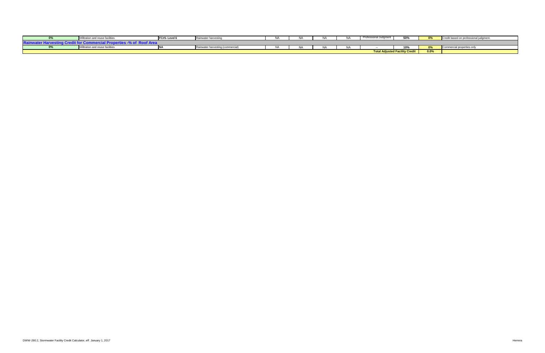| $0\%$                    | on and reuse facilities    | FC#5-Level 6 | Rainwater.<br>nter harvesting              | N. | <b>AIA</b> |            | Professional Judgmer                  | EO OZ<br>- JV 70 | nn/<br>$U$ 70 | d on professional judgment. |
|--------------------------|----------------------------|--------------|--------------------------------------------|----|------------|------------|---------------------------------------|------------------|---------------|-----------------------------|
| <b>Rail</b>              | <b>AL BAAR ANAA</b>        |              |                                            |    |            |            |                                       |                  |               |                             |
| 0 <sup>0</sup><br>$U$ 70 | ation and reuse facilities | IN A         | Rainward.<br>water harvesting (commercial) | NA | <b>AIA</b> | $\sqrt{ }$ |                                       | 10%              | m.<br>U70     | Commercial properties only  |
|                          |                            |              |                                            |    |            |            | <b>Total Adjusted Facility Credit</b> |                  | $0.0\%$       |                             |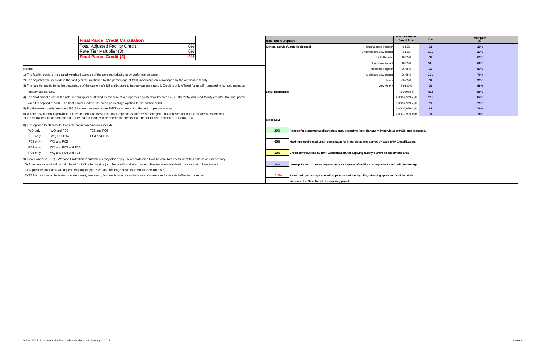|                  | % impervious or<br><b>Parcel Area</b> | <b>Tier</b>      | <b>Multiplier</b><br>(3) |
|------------------|---------------------------------------|------------------|--------------------------|
| veloped-Regular  | $0 - 15%$                             | G <sub>1</sub>   | 30%                      |
| oped-Low Impact  | $0 - 15%$                             | G <sub>1</sub> L | 23%                      |
| Light-Regular    | 16-35%                                | G2               | 63%                      |
| Light-Low Impact | 16-35%                                | G <sub>2L</sub>  | 62%                      |
| loderate-Regular | 36-65%                                | G3               | 83%                      |
| erate-Low Impact | 36-65%                                | G3L              | 79%                      |
| Heavy            | 66-85%                                | G4               | 93%                      |
| Very Heavy       | 86-100%                               | G <sub>5</sub>   | 99%                      |
|                  | $<$ 2,000 sq ft                       | R <sub>1</sub> a | 85%                      |
|                  | 2,000-2,999 sq ft                     | R <sub>1</sub> b | 84%                      |
|                  | 3,000-4,999 sq ft                     | R <sub>2</sub>   | 79%                      |
|                  | 5,000-6,999 sq ft                     | R3               | 78%                      |
|                  | 7,000-9,999 sq ft                     | R4               | 74%                      |

|                     |                                                                     | <b>Final Parcel Credit Calculation</b>                                                                                                                                                | <b>Rate Tier Multipliers</b>                    |                                                                                                     | % impervious oi<br><b>Parcel Area</b> | Tier             | <b>Multipl</b><br>(3) |
|---------------------|---------------------------------------------------------------------|---------------------------------------------------------------------------------------------------------------------------------------------------------------------------------------|-------------------------------------------------|-----------------------------------------------------------------------------------------------------|---------------------------------------|------------------|-----------------------|
|                     |                                                                     | $\overline{0\%}$<br><b>Total Adjusted Facility Credit</b>                                                                                                                             | General Service/Large Residential               | Undeveloped-Regular                                                                                 | $0 - 15%$                             | G1               | 30%                   |
|                     |                                                                     | 0%<br>Rate Tier Multiplier (3)                                                                                                                                                        |                                                 | Undeveloped-Low Impact                                                                              | $0 - 15%$                             | G <sub>1</sub> L | 23%                   |
|                     |                                                                     | 0%<br><b>Final Parcel Credit (4)</b>                                                                                                                                                  |                                                 | Light-Regular                                                                                       | 16-35%                                | G2               | 63%                   |
|                     |                                                                     |                                                                                                                                                                                       |                                                 | Light-Low Impact                                                                                    | 16-35%                                | G <sub>2L</sub>  | 62%                   |
| Notes:              |                                                                     |                                                                                                                                                                                       |                                                 | Moderate-Regular                                                                                    | 36-65%                                | G3               | 83%                   |
|                     |                                                                     | 1) The facility credit is the scaled weighted average of the percent reductions by performance target.                                                                                |                                                 | Moderate-Low Impact                                                                                 | 36-65%                                | G <sub>3L</sub>  | 79%                   |
|                     |                                                                     | 2) The adjusted facility credit is the facility credit multiplied by the percentage of total impervious area managed by the applicable facility.                                      |                                                 | Heavy                                                                                               | 66-85%                                | G4               | 93%                   |
|                     |                                                                     | 3) The rate tier multiplier is the percentage of the customer's bill attributable to impervious area runoff. Credit is only offered for runoff managed which originates on            |                                                 | Very Heavy                                                                                          | 86-100%                               | G <sub>5</sub>   | 99%                   |
| impervious surface. |                                                                     |                                                                                                                                                                                       | <b>Small Residential</b>                        |                                                                                                     | $<$ 2,000 sq ft                       | R1a              | 85%                   |
|                     |                                                                     | 4) The final parcel credit is the rate tier multiplier multiplied by the sum of a property's adjusted facility credits (i.e., the "total adjusted facility credit"). The final parcel |                                                 |                                                                                                     | 2,000-2,999 sq ft                     | R1b              | 84%                   |
|                     |                                                                     | credit is capped at 50%. The final parcel credit is the credit percentage applied to the customer bill.                                                                               |                                                 |                                                                                                     | 3,000-4,999 sq ft                     | R2               | 79%                   |
|                     |                                                                     | 5) For the water quality treatment PGIS/impervious area, enter PGIS as a percent of the total impervious area.                                                                        |                                                 |                                                                                                     | 5,000-6,999 sq ft                     | R3               | 78%                   |
|                     |                                                                     | 6) Where flow control is provided, it is estimated that 75% of the total impervious surface is managed. This is based upon past business inspections.                                 |                                                 |                                                                                                     | 7,000-9,999 sq ft                     | R <sub>4</sub>   | 74%                   |
|                     |                                                                     | 7) Fractional credits are not offered - note that no credit will be offered for credits that are calculated to round to less than 1%.                                                 | <b>Color Key:</b>                               |                                                                                                     |                                       |                  |                       |
|                     | 8) FC1 applies to all parcels. Possible basin combinations include: |                                                                                                                                                                                       |                                                 |                                                                                                     |                                       |                  |                       |
| WQ only             | WQ and FC3                                                          | FC3 and FC5                                                                                                                                                                           | <b>20%</b>                                      | Ranges for customer/applicant data entry regarding Rate Tier and % impervious or PGIS area managed. |                                       |                  |                       |
| FC1 only            | WQ and FC4                                                          | FC4 and FC5                                                                                                                                                                           |                                                 |                                                                                                     |                                       |                  |                       |
| FC3 only            | WQ and FC5                                                          |                                                                                                                                                                                       | 65%                                             | Maximum goal-based credit percentage for impervious area served by each BMP Classification.         |                                       |                  |                       |
| FC4 only            | WQ and FC3 and FC5                                                  |                                                                                                                                                                                       |                                                 |                                                                                                     |                                       |                  |                       |
| FC5 only            | WQ and FC4 and FC5                                                  |                                                                                                                                                                                       | 10%                                             | Credit contributions by BMP Classification, for applying facility's BMPs of impervious area.        |                                       |                  |                       |
|                     |                                                                     | 9) Flow Control 2 (FC2) - Wetland Protection requirements may also apply. A separate credit will be calculated outside of this calculator if necessary.                               |                                                 |                                                                                                     |                                       |                  |                       |
|                     |                                                                     | 10) A separate credit will be calculated for infiltration basins (or other traditional stormwater infrastructure) outside of this calculator if necessary.                            | <b>Mult</b>                                     | Lookup Table to convert impervious area impacts of facility to composite Rate Credit Percentage.    |                                       |                  |                       |
|                     |                                                                     | 11) Applicable standards will depend on project type, size, and drainage basin (see Vol III, Section 2.5.3)                                                                           |                                                 |                                                                                                     |                                       |                  |                       |
|                     |                                                                     | 12) TSS is used as an indicator of water quality treatment; Volume is used as an indicator of volume reduction via infiltration or reuse.                                             | 15.0%                                           | Rate Credit percentage that will appear on and modify bills, reflecting applicant facilities, their |                                       |                  |                       |
|                     |                                                                     |                                                                                                                                                                                       | sizes and the Rate Tier of the applying parcel. |                                                                                                     |                                       |                  |                       |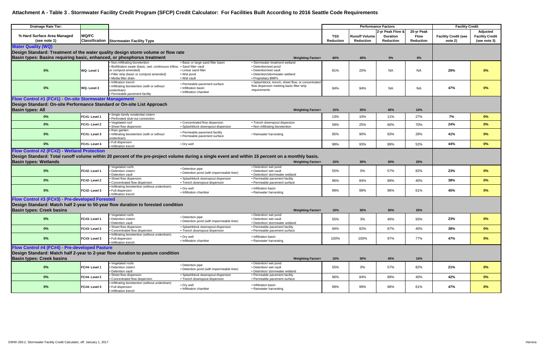# **Attachment A - Table 3 . Stormwater Facility Credit Program (SFCP) Credit Calculator: For Facilities Built According to 2016 Seattle Code Requirements**

| <b>Drainage Rate Tier:</b>                                             |               |                                                                                                                                                                                   |                                                                                                                |                                                                                                                                                                              |                  |                                          | <b>Performance Factors</b>                              |                                               | <b>Facility Credit</b>                 |                                                           |
|------------------------------------------------------------------------|---------------|-----------------------------------------------------------------------------------------------------------------------------------------------------------------------------------|----------------------------------------------------------------------------------------------------------------|------------------------------------------------------------------------------------------------------------------------------------------------------------------------------|------------------|------------------------------------------|---------------------------------------------------------|-----------------------------------------------|----------------------------------------|-----------------------------------------------------------|
| % Hard Surface Area Managed<br>(see note 1)                            | <b>WQ/FC</b>  | <b>Classification Stormwater Facility Type</b>                                                                                                                                    |                                                                                                                |                                                                                                                                                                              | TSS<br>Reduction | <b>Runoff Volume</b><br><b>Reduction</b> | 2-yr Peak Flow &<br><b>Duration</b><br><b>Reduction</b> | 25-yr Peak<br><b>Flow</b><br><b>Reduction</b> | <b>Facility Credit (see</b><br>note 2) | <b>Adjusted</b><br><b>Facility Credit</b><br>(see note 3) |
| <b>Water Quality (WQ)</b>                                              |               |                                                                                                                                                                                   |                                                                                                                |                                                                                                                                                                              |                  |                                          |                                                         |                                               |                                        |                                                           |
|                                                                        |               | Design Standard: Treatment of the water quality design storm volume or flow rate                                                                                                  |                                                                                                                |                                                                                                                                                                              |                  |                                          |                                                         |                                               |                                        |                                                           |
| Basin types: Basins requiring basic, enhanced, or phosphorus treatment |               |                                                                                                                                                                                   |                                                                                                                | <b>Weighting Factor=</b>                                                                                                                                                     | 60%              | 40%                                      | $0\%$                                                   | 0%                                            |                                        |                                                           |
| $0\%$                                                                  | WQ-Level 1    | . Non-infiltrating bioretention<br>· Biofiltration swale (basic, wet, continuous inflow<br>or compost amended)<br>• Filter strip (basic or compost amended)<br>Media filter drain | • Basic or large sand filter basin<br>• Sand filter vault<br>• Linear sand filter<br>• Wet pond<br>• Wet vault | • Stormwater treatment wetland<br>• Detention/wet pond<br>• Detention/wet vault<br>• Detention/stormwater wetland<br>• Proprietary BMPs                                      | 81%              | 20%                                      | <b>NA</b>                                               | <b>NA</b>                                     | 29%                                    | 0%                                                        |
| $0\%$                                                                  | WQ-Level 2    | · Infiltration trench<br>. Infiltrating bioretention (with or without<br>underdrain)<br>· Permeable pavement facility                                                             | • Permeable payement surface<br>• Infiltration basin<br>• Infiltration chamber                                 | · Splashblock, trench, sheet flow, or concentrated<br>flow dispersion meeting basic filter strip<br>requirements                                                             | 94%              | 94%                                      | <b>NA</b>                                               | <b>NA</b>                                     | 47%                                    | $0\%$                                                     |
| Flow Control #1 (FC#1) - On-site Stormwater Management                 |               |                                                                                                                                                                                   |                                                                                                                |                                                                                                                                                                              |                  |                                          |                                                         |                                               |                                        |                                                           |
| Design Standard: On-site Performance Standard or On-site List Approach |               |                                                                                                                                                                                   |                                                                                                                |                                                                                                                                                                              |                  |                                          |                                                         |                                               |                                        |                                                           |
| <b>Basin types: All</b>                                                |               |                                                                                                                                                                                   |                                                                                                                | <b>Weighting Factor=</b>                                                                                                                                                     | 15%              | 35%                                      | 40%                                                     | 10%                                           |                                        |                                                           |
| $0\%$                                                                  | FC#1- Level 1 | · Single-family residential cistern                                                                                                                                               |                                                                                                                |                                                                                                                                                                              | 13%              | 10%                                      | 11%                                                     | 27%                                           | 7%                                     | $0\%$                                                     |
|                                                                        |               | · Perforated stub-out connection<br>Vegetated roof                                                                                                                                | • Concentrated flow dispersion                                                                                 | • Trench downspout dispersion                                                                                                                                                |                  |                                          |                                                         |                                               |                                        |                                                           |
| 0%                                                                     | FC#1-Level 2  | Sheet flow dispersion                                                                                                                                                             | • Splashblock downspout dispersion                                                                             | • Non-infiltrating bioretention                                                                                                                                              | 58%              | 25%                                      | 60%                                                     | 70%                                           | 24%                                    | $0\%$                                                     |
| $0\%$                                                                  | FC#1-Level 3  | • Rain garden<br>. Infiltrating bioretention (with or without<br>underdrain)                                                                                                      | • Permeable pavement facility<br>• Permeable pavement surface                                                  | • Rainwater harvesting                                                                                                                                                       | 95%              | 90%                                      | 83%                                                     | 28%                                           | 41%                                    | $0\%$                                                     |
| 0%                                                                     | FC#1- Level 4 | · Full dispersion<br>· Infiltration trench                                                                                                                                        | • Dry well                                                                                                     |                                                                                                                                                                              | 98%              | 93%                                      | 89%                                                     | 52%                                           | 44%                                    | $0\%$                                                     |
| Flow Control #2 (FC#2) - Wetland Protection                            |               |                                                                                                                                                                                   |                                                                                                                |                                                                                                                                                                              |                  |                                          |                                                         |                                               |                                        |                                                           |
| <b>Basin types: Wetlands</b>                                           |               |                                                                                                                                                                                   |                                                                                                                | Design Standard: Total runoff volume within 20 percent of the pre-project volume during a single event and within 15 percent on a monthly basis.<br><b>Weighting Factor=</b> | 15%              | 30%                                      | 30%                                                     | 25%                                           |                                        |                                                           |
|                                                                        |               | • Vegetated roofs                                                                                                                                                                 |                                                                                                                | • Detention/ wet pond                                                                                                                                                        |                  |                                          |                                                         |                                               |                                        |                                                           |
| $0\%$                                                                  | FC#2- Level 1 | · Detention cistern<br>· Detention vault                                                                                                                                          | • Detention pipe<br>• Detention pond (with impermeable liner)                                                  | • Detention/ wet vault<br>• Detention/ stormwater wetland                                                                                                                    | 55%              | 0%                                       | 57%                                                     | 82%                                           | 23%                                    | $0\%$                                                     |
| $0\%$                                                                  | FC#2- Level 2 | Sheet flow dispersion<br>• Concentrated flow dispersion                                                                                                                           | • Splashblock downspout dispersion<br>• Trench downspout dispersion                                            | • Permeable pavement facility<br>• Permeable pavement surface                                                                                                                | 96%              | 84%                                      | 89%                                                     | 40%                                           | 38%                                    | $0\%$                                                     |
| $0\%$                                                                  | FC#2- Level 3 | . Infiltrating bioretention (without underdrain)<br>• Full dispersion<br>• Infiltration trench                                                                                    | • Dry well<br>• Infiltration chamber                                                                           | • Infiltration basin<br>• Rainwater harvesting                                                                                                                               | 99%              | 99%                                      | 96%                                                     | 61%                                           | 45%                                    | $0\%$                                                     |
| Flow Control #3 (FC#3) - Pre-developed Forested                        |               |                                                                                                                                                                                   |                                                                                                                |                                                                                                                                                                              |                  |                                          |                                                         |                                               |                                        |                                                           |
|                                                                        |               | Design Standard: Match half 2-year to 50-year flow duration to forested condition                                                                                                 |                                                                                                                |                                                                                                                                                                              |                  |                                          |                                                         |                                               |                                        |                                                           |
| <b>Basin types: Creek basins</b>                                       |               |                                                                                                                                                                                   |                                                                                                                | <b>Weighting Factor=</b>                                                                                                                                                     | 15%              | 30%                                      | 30%                                                     | 25%                                           |                                        |                                                           |
| $0\%$                                                                  | FC#3- Level 1 | • Vegetated roofs<br>· Detention cistern<br>· Detention vault                                                                                                                     | • Detention pipe<br>• Detention pond (with impermeable liner)                                                  | • Detention/ wet pond<br>• Detention/ wet vault<br>• Detention/ stormwater wetland                                                                                           | 55%              | 3%                                       | 46%                                                     | 93%                                           | 23%                                    | $0\%$                                                     |
| $0\%$                                                                  | FC#3-Level 2  | Sheet flow dispersion<br>Concentrated flow dispersion                                                                                                                             | • Splashblock downspout dispersion<br>• Trench downspout dispersion                                            | • Permeable pavement facility<br>• Permeable pavement surface                                                                                                                | 94%              | 82%                                      | 87%                                                     | 40%                                           | 38%                                    | $0\%$                                                     |
| 0%                                                                     | FC#3-Level 3  | • Infiltrating bioretention (without underdrain)<br>• Full dispersion<br>• Infiltration trench                                                                                    | • Dry well<br>• Infiltration chamber                                                                           | · Infiltration basin<br>• Rainwater harvesting                                                                                                                               | 100%             | 100%                                     | 97%                                                     | 77%                                           | 47%                                    | $0\%$                                                     |
| Flow Control #4 (FC#4) - Pre-developed Pasture                         |               |                                                                                                                                                                                   |                                                                                                                |                                                                                                                                                                              |                  |                                          |                                                         |                                               |                                        |                                                           |
|                                                                        |               | Design Standard: Match half 2-year to 2-year flow duration to pasture condition                                                                                                   |                                                                                                                |                                                                                                                                                                              |                  |                                          |                                                         |                                               |                                        |                                                           |
| <b>Basin types: Creek basins</b>                                       |               |                                                                                                                                                                                   |                                                                                                                | <b>Weighting Factor=</b>                                                                                                                                                     | 15%              | 30%                                      | 45%                                                     | 10%                                           |                                        |                                                           |
| $0\%$                                                                  | FC#4- Level 1 | • Vegetated roofs<br>• Detention cistern                                                                                                                                          | • Detention pipe<br>• Detention pond (with impermeable liner)                                                  | • Detention/ wet pond<br>• Detention/ wet vault                                                                                                                              | 55%              | 0%                                       | 57%                                                     | 82%                                           | 21%                                    | $0\%$                                                     |
| $0\%$                                                                  | FC#4- Level 2 | · Detention vault<br>Sheet flow dispersion                                                                                                                                        | • Splashblock downspout dispersion                                                                             | • Detention/ stormwater wetland<br>• Permeable pavement facility                                                                                                             | 96%              | 84%                                      | 89%                                                     | 40%                                           | 42%                                    | $0\%$                                                     |
|                                                                        |               | Concentrated flow dispersion<br>. Infiltrating bioretention (without underdrain)                                                                                                  | • Trench downspout dispersion                                                                                  | · Permeable pavement surface                                                                                                                                                 |                  |                                          |                                                         |                                               |                                        |                                                           |
| $0\%$                                                                  | FC#4- Level 3 | • Full dispersion<br>• Infiltration trench                                                                                                                                        | • Dry well<br>• Infiltration chamber                                                                           | · Infiltration basin<br>• Rainwater harvesting                                                                                                                               | 99%              | 99%                                      | 96%                                                     | 61%                                           | 47%                                    | 0%                                                        |
|                                                                        |               |                                                                                                                                                                                   |                                                                                                                |                                                                                                                                                                              |                  |                                          |                                                         |                                               |                                        |                                                           |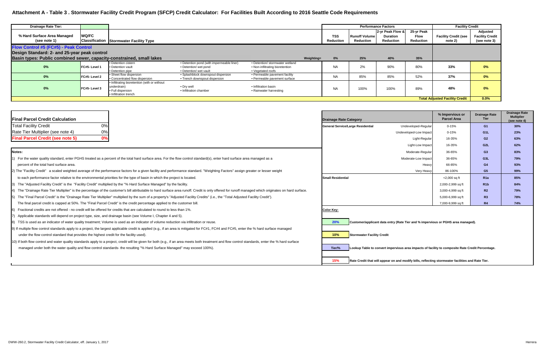# **Attachment A - Table 3 . Stormwater Facility Credit Program (SFCP) Credit Calculator: For Facilities Built According to 2016 Seattle Code Requirements**

| <b>IFinal Parcel Credit Calculation</b>                                                                                                                                                               | <b>Drainage Rate Category</b>                                                                              | % Impervious or<br><b>Parcel Area</b> | <b>Drainage Rate</b><br>Tier | <b>Drainage</b><br><b>Multipl</b><br>(see not |
|-------------------------------------------------------------------------------------------------------------------------------------------------------------------------------------------------------|------------------------------------------------------------------------------------------------------------|---------------------------------------|------------------------------|-----------------------------------------------|
| 0%<br><b>Total Facility Credit</b>                                                                                                                                                                    | Undeveloped-Regular<br>General Service/Large Residential                                                   | $0 - 15%$                             | G1                           | 30%                                           |
| 0%<br>Rate Tier Multiplier (see note 4)                                                                                                                                                               | Undeveloped-Low Impact                                                                                     | $0 - 15%$                             | G <sub>1</sub> L             | 23%                                           |
| 0%<br><b>Final Parcel Credit (see note 5)</b>                                                                                                                                                         | Light-Regular                                                                                              | 16-35%                                | G <sub>2</sub>               | 63%                                           |
|                                                                                                                                                                                                       | Light-Low Impact                                                                                           | 16-35%                                | G <sub>2</sub> L             | 62%                                           |
| Notes:                                                                                                                                                                                                | Moderate-Regular                                                                                           | 36-65%                                | G <sub>3</sub>               | 83%                                           |
| 1) For the water quality standard, enter PGHS treated as a percent of the total hard surface area. For the flow control standard(s), enter hard surface area managed as a                             | Moderate-Low Impact                                                                                        | 36-65%                                | G <sub>3</sub> L             | 79%                                           |
| percent of the total hard surface area.                                                                                                                                                               | Heavy                                                                                                      | 66-85%                                | G4                           | 93%                                           |
| 2) The "Facility Credit" a scaled weighted average of the performance factors for a given facility and performance standard. "Weighting Factors" assign greater or lesser weight                      | Very Heavy                                                                                                 | 86-100%                               | G <sub>5</sub>               | 99%                                           |
| to each performance factor relative to the environmental priorities for the type of basin in which the project is located.                                                                            | <b>Small Residential</b>                                                                                   | $<$ 2,000 sq ft                       | R <sub>1</sub> a             | 85%                                           |
| 3) The "Adjusted Facility Credit" is the "Facility Credit" multiplied by the "% Hard Surface Managed" by the facility                                                                                 |                                                                                                            | 2,000-2,999 sq ft                     | R1b                          | 84%                                           |
| 4) The "Drainage Rate Tier Multiplier" is the percentage of the customer's bill attributable to hard surface area runoff. Credit is only offered for runoff managed which originates on hard surface. |                                                                                                            | 3,000-4,999 sq ft                     | R <sub>2</sub>               | 79%                                           |
| The "Final Parcel Credit" is the "Drainage Rate Tier Multiplier" multiplied by the sum of a property's "Adjusted Facility Credits" (i.e., the "Total Adjusted Facility Credit").                      |                                                                                                            | 5,000-6,999 sq ft                     | R <sub>3</sub>               | 78%                                           |
| The final parcel credit is capped at 50%. The "Final Parcel Credit" is the credit percentage applied to the customer bill                                                                             |                                                                                                            | 7,000-9,999 sq ft                     | R <sub>4</sub>               | 74%                                           |
| Fractional credits are not offered - no credit will be offered for credits that are calculated to round to less than 1%.                                                                              | <b>Color Key:</b>                                                                                          |                                       |                              |                                               |
| Applicable standards will depend on project type, size, and drainage basin (see Volume I, Chapter 4 and 5).                                                                                           |                                                                                                            |                                       |                              |                                               |
| [8] TSS is used as an indicator of water quality treatment; Volume is used as an indicator of volume reduction via infiltration or reuse.                                                             | 20%<br>Customer/applicant data entry (Rate Tier and % impervious or PGHS area managed).                    |                                       |                              |                                               |
| 9) If multiple flow control standards apply to a project, the largest applicable credit is applied (e.g., if an area is mitigated for FC#1, FC#4 and FC#5, enter the % hard surface managed           |                                                                                                            |                                       |                              |                                               |
| under the flow control standard that provides the highest credit for the facility used).                                                                                                              | Stormwater Facility Credit<br>10%                                                                          |                                       |                              |                                               |
| 10) If both flow control and water quality standards apply to a project, credit will be given for both (e.g., if an area meets both treatment and flow control standards, enter the % hard surface    |                                                                                                            |                                       |                              |                                               |
| managed under both the water quality and flow control standards- the resulting "% Hard Surface Managed" may exceed 100%).                                                                             | Lookup Table to convert impervious area impacts of facility to composite Rate Credit Percentage.<br>Tier/% |                                       |                              |                                               |
|                                                                                                                                                                                                       | 15%<br>Rate Credit that will appear on and modify bills, reflecting stormwater facilities and Rate Tier.   |                                       |                              |                                               |

| <b>Drainage Rate Tier:</b>                                            |                      |                                                                                                           |                                                                                              |                                                                                         |            |                         | <b>Performance Factors</b>               |                                                  |                                        | <b>Facility Credit</b>                 |                                                    |
|-----------------------------------------------------------------------|----------------------|-----------------------------------------------------------------------------------------------------------|----------------------------------------------------------------------------------------------|-----------------------------------------------------------------------------------------|------------|-------------------------|------------------------------------------|--------------------------------------------------|----------------------------------------|----------------------------------------|----------------------------------------------------|
| % Hard Surface Area Managed<br>(see note 1)                           | <b>WQ/FC</b>         | <b>Classification Stormwater Facility Type</b>                                                            |                                                                                              |                                                                                         |            | <b>TSS</b><br>Reduction | <b>Runoff Volume</b><br><b>Reduction</b> | 2-yr Peak Flow &<br><b>Duration</b><br>Reduction | 25-yr Peak<br><b>Flow</b><br>Reduction | <b>Facility Credit (see</b><br>note 2) | Adjusted<br><b>Facility Credit</b><br>(see note 3) |
| Flow Control #5 (FC#5) - Peak Control                                 |                      |                                                                                                           |                                                                                              |                                                                                         |            |                         |                                          |                                                  |                                        |                                        |                                                    |
| Design Standard: 2- and 25-year peak control                          |                      |                                                                                                           |                                                                                              |                                                                                         |            |                         |                                          |                                                  |                                        |                                        |                                                    |
| Basin types: Public combined sewer, capacity-constrained, small lakes |                      |                                                                                                           |                                                                                              |                                                                                         | Weighting= | 0%                      | 25%                                      | 40%                                              | 35%                                    |                                        |                                                    |
| 0%                                                                    | <b>IFC#5-Level 1</b> | • Detention cistern<br>• Detention vault<br>• Detention pipe                                              | • Detention pond (with impermeable liner)<br>• Detention/ wet pond<br>• Detention/ wet vault | • Detention/ stormwater wetland<br>• Non-infiltrating bioretention<br>• Vegetated roofs |            | <b>NA</b>               | 2%                                       | 90%                                              | 80%                                    | 33%                                    | 0%                                                 |
| 0%                                                                    | <b>FC#5-Level 2</b>  | • Sheet flow dispersion<br>• Concentrated flow dispersion                                                 | • Splashblock downspout dispersion<br>• Trench downspout dispersion                          | • Permeable pavement facility<br>• Permeable pavement surface                           |            | <b>NA</b>               | 85%                                      | 85%                                              | 52%                                    | 37%                                    | 0%                                                 |
| 0%                                                                    | <b>IFC#5-Level 3</b> | . Infiltrating bioretention (with or without<br>underdrain)<br>• Full dispersion<br>. Infiltration trench | • Dry well<br>• Infiltration chamber                                                         | • Infiltration basin<br>• Rainwater harvesting                                          |            | <b>NA</b>               | 100%                                     | 100%                                             | 89%                                    | 48%                                    | 0%                                                 |
|                                                                       |                      |                                                                                                           |                                                                                              |                                                                                         |            |                         |                                          |                                                  |                                        | <b>Total Adjusted Facility Credit</b>  | 0.0%                                               |

|                      | % Impervious or<br><b>Parcel Area</b> | <b>Drainage Rate</b><br><b>Tier</b> | <b>Drainage Rate</b><br><b>Multiplier</b><br>(see note 4) |
|----------------------|---------------------------------------|-------------------------------------|-----------------------------------------------------------|
| Undeveloped-Regular  | $0 - 15%$                             | G <sub>1</sub>                      | 30%                                                       |
| developed-Low Impact | $0 - 15%$                             | G <sub>1</sub> L                    | 23%                                                       |
| Light-Regular        | 16-35%                                | G <sub>2</sub>                      | 63%                                                       |
| Light-Low Impact     | 16-35%                                | G <sub>2</sub> L                    | 62%                                                       |
| Moderate-Regular     | 36-65%                                | G <sub>3</sub>                      | 83%                                                       |
| Moderate-Low Impact  | 36-65%                                | G3L                                 | 79%                                                       |
| Heavy                | 66-85%                                | G4                                  | 93%                                                       |
| Very Heavy           | 86-100%                               | G <sub>5</sub>                      | 99%                                                       |
|                      | $<$ 2,000 sq ft                       | R <sub>1a</sub>                     | 85%                                                       |
|                      | 2,000-2,999 sq ft                     | R <sub>1</sub> b                    | 84%                                                       |
|                      | 3,000-4,999 sq ft                     | R <sub>2</sub>                      | 79%                                                       |
|                      | 5,000-6,999 sq ft                     | R3                                  | 78%                                                       |
|                      | 7,000-9,999 sq ft                     | R <sub>4</sub>                      | 74%                                                       |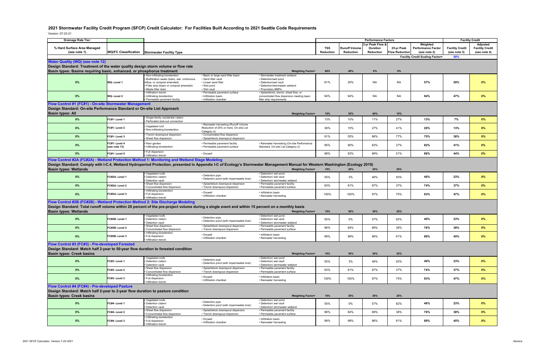# **2021 Stormwater Facility Credit Program (SFCP) Credit Calculator: For Facilities Built According to 2021 Seattle Code Requirements**

Version: 07-23-21

|                                                                                                                                                                                                                                    |                             |                                                            |                                                                     |                                                                                                                                                                               | <b>Performance Factors</b> |                      |                  |                       |                                        |                        |                        |
|------------------------------------------------------------------------------------------------------------------------------------------------------------------------------------------------------------------------------------|-----------------------------|------------------------------------------------------------|---------------------------------------------------------------------|-------------------------------------------------------------------------------------------------------------------------------------------------------------------------------|----------------------------|----------------------|------------------|-----------------------|----------------------------------------|------------------------|------------------------|
| <b>Drainage Rate Tier:</b>                                                                                                                                                                                                         |                             |                                                            |                                                                     |                                                                                                                                                                               |                            |                      |                  |                       |                                        |                        | <b>Facility Credit</b> |
|                                                                                                                                                                                                                                    |                             |                                                            |                                                                     |                                                                                                                                                                               |                            |                      | 2-yr Peak Flow & |                       | Weighted                               |                        | Adjusted               |
| % Hard Surface Area Managed                                                                                                                                                                                                        |                             |                                                            |                                                                     |                                                                                                                                                                               | TSS                        | <b>Runoff Volume</b> | <b>Duration</b>  | 25-yr Peak            | <b>Performance Factor</b>              | <b>Facility Credit</b> | <b>Facility Credit</b> |
| (see note 1)                                                                                                                                                                                                                       | <b>WQ/FC Classification</b> | <b>Stormwater Facility Type</b>                            |                                                                     |                                                                                                                                                                               | Reduction                  | Reduction            | <b>Reduction</b> | <b>Flow Reduction</b> | (see note 2)                           | (see note 3)           | (see note 4)           |
|                                                                                                                                                                                                                                    |                             |                                                            |                                                                     |                                                                                                                                                                               |                            |                      |                  |                       | <b>Facility Credit Scaling Factor=</b> | 50%                    |                        |
|                                                                                                                                                                                                                                    |                             |                                                            |                                                                     |                                                                                                                                                                               |                            |                      |                  |                       |                                        |                        |                        |
| <b>Water Quality (WQ) (see note 12)</b>                                                                                                                                                                                            |                             |                                                            |                                                                     |                                                                                                                                                                               |                            |                      |                  |                       |                                        |                        |                        |
| Design Standard: Treatment of the water quality design storm volume or flow rate                                                                                                                                                   |                             |                                                            |                                                                     |                                                                                                                                                                               |                            |                      |                  |                       |                                        |                        |                        |
| Basin types: Basins requiring basic, enhanced, or phosphorus treatment                                                                                                                                                             |                             |                                                            |                                                                     | <b>Weighting Factor=</b>                                                                                                                                                      | 60%                        | 40%                  | $0\%$            | $0\%$                 |                                        |                        |                        |
|                                                                                                                                                                                                                                    |                             | Non-infiltrating bioretention                              | · Basic or large sand filter basin                                  | · Stormwater treatment wetland                                                                                                                                                |                            |                      |                  |                       |                                        |                        |                        |
|                                                                                                                                                                                                                                    |                             | · Biofiltration swale (basic, wet, continuous              | · Sand filter vault                                                 | • Detention/wet pond                                                                                                                                                          |                            |                      |                  |                       |                                        |                        |                        |
| 0%                                                                                                                                                                                                                                 | WQ-Level 1                  | inflow, or compost amended)                                | • Linear sand filter                                                | • Detention/wet vault                                                                                                                                                         | 81%                        | 20%                  | <b>NA</b>        | <b>NA</b>             | 57%                                    | 29%                    | 0%                     |
|                                                                                                                                                                                                                                    |                             | Filter strip (basic or compost amended)                    | • Wet pond                                                          | • Detention/stormwater wetland                                                                                                                                                |                            |                      |                  |                       |                                        |                        |                        |
|                                                                                                                                                                                                                                    |                             | Media filter drain                                         | • Wet vault                                                         | • Proprietary BMPs                                                                                                                                                            |                            |                      |                  |                       |                                        |                        |                        |
|                                                                                                                                                                                                                                    |                             | Infiltration trench                                        | • Permeable pavement surface                                        | · Splashblock, trench, sheet flow, or                                                                                                                                         |                            |                      |                  |                       |                                        |                        |                        |
| 0%                                                                                                                                                                                                                                 | WQ-Level 2                  | Infiltrating bioretention<br>· Permeable pavement facility | · Infiltration basin<br>• Infiltration chamber                      | concentrated flow dispersion meeting basic<br>filter strip requirements                                                                                                       | 94%                        | 94%                  | NA               | NA                    | 94%                                    | 47%                    | $0\%$                  |
|                                                                                                                                                                                                                                    |                             |                                                            |                                                                     |                                                                                                                                                                               |                            |                      |                  |                       |                                        |                        |                        |
| Flow Control #1 (FC#1) - On-site Stormwater Management                                                                                                                                                                             |                             |                                                            |                                                                     |                                                                                                                                                                               |                            |                      |                  |                       |                                        |                        |                        |
| Design Standard: On-site Performance Standard or On-site List Approach                                                                                                                                                             |                             |                                                            |                                                                     |                                                                                                                                                                               |                            |                      |                  |                       |                                        |                        |                        |
| <b>Basin types: All</b>                                                                                                                                                                                                            |                             |                                                            |                                                                     | <b>Weighting Factor=</b>                                                                                                                                                      | 15%                        | 35%                  | 40%              | 10%                   |                                        |                        |                        |
| 0%                                                                                                                                                                                                                                 | FC#1-Level 1                | Single-family residential cistern                          |                                                                     |                                                                                                                                                                               | 13%                        | 10%                  | 11%              | 27%                   | 13%                                    | 7%                     | 0%                     |
|                                                                                                                                                                                                                                    |                             | Perforated stub-out connection                             |                                                                     |                                                                                                                                                                               |                            |                      |                  |                       |                                        |                        |                        |
|                                                                                                                                                                                                                                    |                             | Vegetated roof                                             | • Rainwater harvesting (Runoff Volume                               |                                                                                                                                                                               |                            |                      |                  |                       |                                        |                        |                        |
| 0%                                                                                                                                                                                                                                 | FC#1 Level 2                | Non-infiltrating bioretention                              | Reduction of 25% or more, On-site List                              |                                                                                                                                                                               | 36%                        | 15%                  | 27%              | 41%                   | 26%                                    | 13%                    | 0%                     |
|                                                                                                                                                                                                                                    |                             | Trench downspout dispersion                                | Category 4)<br>• Concentrated flow dispersion                       |                                                                                                                                                                               |                            |                      |                  |                       |                                        |                        |                        |
| 0%                                                                                                                                                                                                                                 | FC#1-Level 3                | Sheet flow dispersion                                      | · Splashblock downspout dispersion                                  |                                                                                                                                                                               | 91%                        | 55%                  | 86%              | 77%                   | 75%                                    | 38%                    | 0%                     |
|                                                                                                                                                                                                                                    |                             |                                                            |                                                                     |                                                                                                                                                                               |                            |                      |                  |                       |                                        |                        |                        |
| $0\%$                                                                                                                                                                                                                              | FC#1-Level 4                | Rain garden                                                | • Permeable pavement facility                                       | • Rainwater harvesting (On-site Performance                                                                                                                                   | 95%                        | 90%                  | 83%              | 27%                   | 82%                                    | 41%                    | $0\%$                  |
|                                                                                                                                                                                                                                    | (see note 13)               | Infiltrating bioretention                                  | • Permeable pavement surface                                        | Standard, On-site List Category 2)                                                                                                                                            |                            |                      |                  |                       |                                        |                        |                        |
| $0\%$                                                                                                                                                                                                                              | FC#1-Level 5                | <b>Full dispersion</b>                                     | • Drywell                                                           |                                                                                                                                                                               | 98%                        | 93%                  | 89%              | 51%                   | 88%                                    | 44%                    | $0\%$                  |
|                                                                                                                                                                                                                                    |                             | Infiltration trench                                        |                                                                     |                                                                                                                                                                               |                            |                      |                  |                       |                                        |                        |                        |
| Flow Control #2A (FC#2A) - Wetland Protection Method 1: Monitoring and Wetland Stage Modeling                                                                                                                                      |                             |                                                            |                                                                     |                                                                                                                                                                               |                            |                      |                  |                       |                                        |                        |                        |
|                                                                                                                                                                                                                                    |                             |                                                            |                                                                     | Design Standard: Comply with I-C.4, Wetland Hydroperiod Protection, presented in Appendix I-C of Ecology's Stormwater Management Manual for Western Washington (Ecology 2019) |                            |                      |                  |                       |                                        |                        |                        |
| <b>Basin types: Wetlands</b>                                                                                                                                                                                                       |                             |                                                            |                                                                     | <b>Weighting Factor=</b>                                                                                                                                                      | 15%                        | 30%                  | 30%              | 25%                   |                                        |                        |                        |
|                                                                                                                                                                                                                                    |                             | Vegetated roofs                                            |                                                                     | • Detention/ wet pond                                                                                                                                                         |                            |                      |                  |                       |                                        |                        |                        |
| 0%                                                                                                                                                                                                                                 | FC#2A-Level 1               | Detention cistern                                          | • Detention pipe                                                    | • Detention/ wet vault                                                                                                                                                        | 55%                        | 3%                   | 46%              | 93%                   | 46%                                    | 23%                    | 0%                     |
|                                                                                                                                                                                                                                    |                             | Detention vault                                            | • Detention pond (with impermeable liner)                           | • Detention/ stormwater wetland                                                                                                                                               |                            |                      |                  |                       |                                        |                        |                        |
| 0%                                                                                                                                                                                                                                 | FC#2A-Level 2               | Sheet flow dispersion                                      | • Splashblock downspout dispersion                                  | • Permeable pavement facility                                                                                                                                                 | 93%                        | 81%                  | 87%              | 37%                   | 74%                                    | 37%                    | $0\%$                  |
|                                                                                                                                                                                                                                    |                             | Concentrated flow dispersion                               | • Trench downspout dispersion                                       | • Permeable pavement surface                                                                                                                                                  |                            |                      |                  |                       |                                        |                        |                        |
|                                                                                                                                                                                                                                    |                             | Infiltrating bioretention                                  | • Drywell                                                           | · Infiltration basin                                                                                                                                                          |                            |                      |                  |                       |                                        |                        |                        |
| 0%                                                                                                                                                                                                                                 | FC#2A-Level 3               | <b>Full dispersion</b><br>Infiltration trench              | · Infiltration chamber                                              | • Rainwater harvesting                                                                                                                                                        | 100%                       | 100%                 | 97%              | 75%                   | 93%                                    | 47%                    | $0\%$                  |
|                                                                                                                                                                                                                                    |                             |                                                            |                                                                     |                                                                                                                                                                               |                            |                      |                  |                       |                                        |                        |                        |
| Flow Control #2B (FC#2B) - Wetland Protection Method 2: Site Discharge Modeling<br>Design Standard: Total runoff volume within 20 percent of the pre-project volume during a single event and within 15 percent on a monthly basis |                             |                                                            |                                                                     |                                                                                                                                                                               |                            |                      |                  |                       |                                        |                        |                        |
|                                                                                                                                                                                                                                    |                             |                                                            |                                                                     |                                                                                                                                                                               |                            |                      |                  |                       |                                        |                        |                        |
| <b>Basin types: Wetlands</b>                                                                                                                                                                                                       |                             |                                                            |                                                                     | <b>Weighting Factor=</b>                                                                                                                                                      | 15%                        | 30%                  | 30%              | 25%                   |                                        |                        |                        |
|                                                                                                                                                                                                                                    |                             | Vegetated roofs                                            | • Detention pipe                                                    | • Detention/ wet pond                                                                                                                                                         |                            |                      |                  |                       |                                        |                        |                        |
| 0%                                                                                                                                                                                                                                 | FC#2B-Level 1               | Detention cistern                                          | • Detention pond (with impermeable liner)                           | • Detention/ wet vault                                                                                                                                                        | 55%                        | 0%                   | 57%              | 82%                   | 46%                                    | 23%                    | $0\%$                  |
|                                                                                                                                                                                                                                    |                             | Detention vault                                            |                                                                     | • Detention/ stormwater wetland                                                                                                                                               |                            |                      |                  |                       |                                        |                        |                        |
| 0%                                                                                                                                                                                                                                 | FC#2B-Level 2               | Sheet flow dispersion<br>Concentrated flow dispersion      | • Splashblock downspout dispersion<br>• Trench downspout dispersion | • Permeable pavement facility<br>• Permeable pavement surface                                                                                                                 | 96%                        | 84%                  | 89%              | 38%                   | 76%                                    | 38%                    | 0%                     |
|                                                                                                                                                                                                                                    |                             | · Infiltrating bioretention                                |                                                                     |                                                                                                                                                                               |                            |                      |                  |                       |                                        |                        |                        |
| 0%                                                                                                                                                                                                                                 | FC#2B- Level 3              | Full dispersion                                            | • Drywell                                                           | · Infiltration basin                                                                                                                                                          | 99%                        | 99%                  | 96%              | 61%                   | 89%                                    | 45%                    | $0\%$                  |
|                                                                                                                                                                                                                                    |                             | · Infiltration trench                                      | • Infiltration chamber                                              | • Rainwater harvesting                                                                                                                                                        |                            |                      |                  |                       |                                        |                        |                        |
| Flow Control #3 (FC#3) - Pre-developed Forested                                                                                                                                                                                    |                             |                                                            |                                                                     |                                                                                                                                                                               |                            |                      |                  |                       |                                        |                        |                        |
| Design Standard: Match half 2-year to 50-year flow duration to forested condition                                                                                                                                                  |                             |                                                            |                                                                     |                                                                                                                                                                               |                            |                      |                  |                       |                                        |                        |                        |
| <b>Basin types: Creek basins</b>                                                                                                                                                                                                   |                             |                                                            |                                                                     |                                                                                                                                                                               |                            |                      |                  |                       |                                        |                        |                        |
|                                                                                                                                                                                                                                    |                             |                                                            |                                                                     | <b>Weighting Factor=</b>                                                                                                                                                      | 15%                        | 30%                  | 30%              | 25%                   |                                        |                        |                        |
| 0%                                                                                                                                                                                                                                 | FC#3 Level 1                | • Vegetated roofs                                          | • Detention pipe                                                    | • Detention/ wet pond                                                                                                                                                         | 55%                        | 3%                   | 46%              | 93%                   | 46%                                    | 23%                    | $0\%$                  |
|                                                                                                                                                                                                                                    |                             | Detention cistern<br>Detention vault                       | • Detention pond (with impermeable liner)                           | • Detention/ wet vault<br>• Detention/ stormwater wetland                                                                                                                     |                            |                      |                  |                       |                                        |                        |                        |
|                                                                                                                                                                                                                                    |                             | Sheet flow dispersion                                      | · Splashblock downspout dispersion                                  | • Permeable pavement facility                                                                                                                                                 |                            |                      |                  |                       |                                        |                        |                        |
| $0\%$                                                                                                                                                                                                                              | FC#3-Level 2                | Concentrated flow dispersion                               | • Trench downspout dispersion                                       | • Permeable pavement surface                                                                                                                                                  | 93%                        | 81%                  | 87%              | 37%                   | 74%                                    | 37%                    | $0\%$                  |
|                                                                                                                                                                                                                                    |                             | Infiltrating bioretention                                  | • Drywell                                                           | · Infiltration basin                                                                                                                                                          |                            |                      |                  |                       |                                        |                        |                        |
| 0%                                                                                                                                                                                                                                 | FC#3-Level 3                | · Full dispersion                                          | · Infiltration chamber                                              | • Rainwater harvesting                                                                                                                                                        | 100%                       | 100%                 | 97%              | 75%                   | 93%                                    | 47%                    | $0\%$                  |
|                                                                                                                                                                                                                                    |                             | Infiltration trench                                        |                                                                     |                                                                                                                                                                               |                            |                      |                  |                       |                                        |                        |                        |
| Flow Control #4 (FC#4) - Pre-developed Pasture                                                                                                                                                                                     |                             |                                                            |                                                                     |                                                                                                                                                                               |                            |                      |                  |                       |                                        |                        |                        |
| Design Standard: Match half 2-year to 2-year flow duration to pasture condition                                                                                                                                                    |                             |                                                            |                                                                     |                                                                                                                                                                               |                            |                      |                  |                       |                                        |                        |                        |
| <b>Basin types: Creek basins</b>                                                                                                                                                                                                   |                             |                                                            |                                                                     | <b>Weighting Factor=</b>                                                                                                                                                      | 15%                        | 30%                  | 30%              | 25%                   |                                        |                        |                        |
|                                                                                                                                                                                                                                    |                             | Vegetated roofs                                            |                                                                     | • Detention/ wet pond                                                                                                                                                         |                            |                      |                  |                       |                                        |                        |                        |
| 0%                                                                                                                                                                                                                                 | FC#4-Level 1                | Detention cistern                                          | • Detention pipe                                                    | • Detention/ wet vault                                                                                                                                                        | 55%                        | 0%                   | 57%              | 82%                   | 46%                                    | 23%                    | $0\%$                  |
|                                                                                                                                                                                                                                    |                             | Detention vault                                            | • Detention pond (with impermeable liner)                           | • Detention/ stormwater wetland                                                                                                                                               |                            |                      |                  |                       |                                        |                        |                        |
| 0%                                                                                                                                                                                                                                 | FC#4-Level 2                | Sheet flow dispersion                                      | · Splashblock downspout dispersion                                  | • Permeable pavement facility                                                                                                                                                 | 96%                        | 84%                  | 89%              | 38%                   | 76%                                    | 38%                    |                        |
|                                                                                                                                                                                                                                    |                             | Concentrated flow dispersion                               | • Trench downspout dispersion                                       | • Permeable pavement surface                                                                                                                                                  |                            |                      |                  |                       |                                        |                        | $0\%$                  |
|                                                                                                                                                                                                                                    |                             | Infiltrating bioretention                                  | • Drywell                                                           | · Infiltration basin                                                                                                                                                          |                            |                      |                  |                       |                                        |                        |                        |
| 0%                                                                                                                                                                                                                                 | FC#4-Level 3                | Full dispersion<br>· Infiltration trench                   | • Infiltration chamber                                              | • Rainwater harvesting                                                                                                                                                        | 99%                        | 99%                  | 96%              | 61%                   | 89%                                    | 45%                    | $0\%$                  |
|                                                                                                                                                                                                                                    |                             |                                                            |                                                                     |                                                                                                                                                                               |                            |                      |                  |                       |                                        |                        |                        |